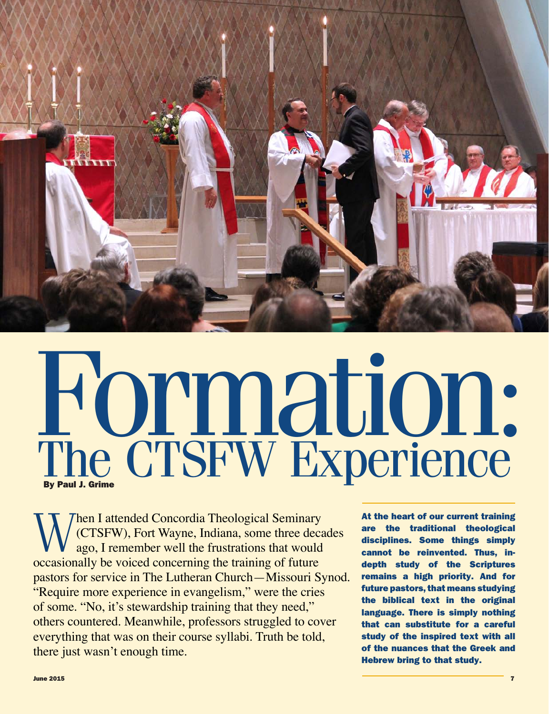

# Formation: The CTSFW Experience

When I attended Concordia Theological Seminary<br>(CTSFW), Fort Wayne, Indiana, some three decay<br>ago, I remember well the frustrations that would (CTSFW), Fort Wayne, Indiana, some three decades ago, I remember well the frustrations that would occasionally be voiced concerning the training of future pastors for service in The Lutheran Church—Missouri Synod. "Require more experience in evangelism," were the cries of some. "No, it's stewardship training that they need," others countered. Meanwhile, professors struggled to cover everything that was on their course syllabi. Truth be told, there just wasn't enough time.

At the heart of our current training are the traditional theological disciplines. Some things simply cannot be reinvented. Thus, indepth study of the Scriptures remains a high priority. And for future pastors, that means studying the biblical text in the original language. There is simply nothing that can substitute for a careful study of the inspired text with all of the nuances that the Greek and Hebrew bring to that study.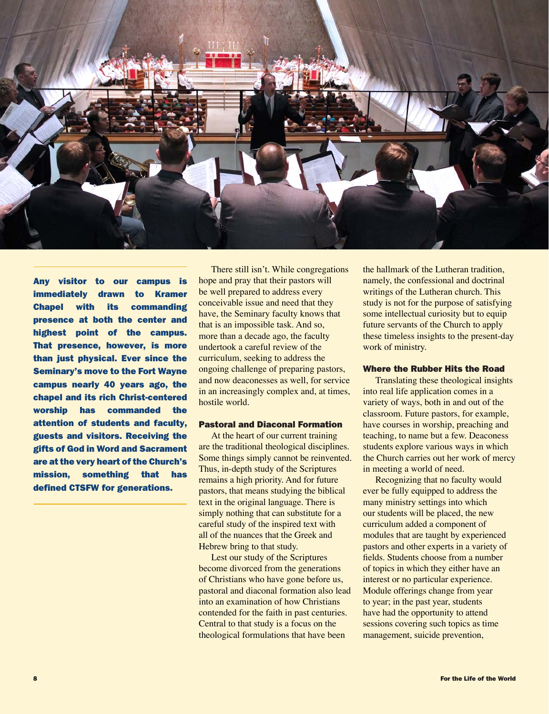

Any visitor to our campus is immediately drawn to Kramer Chapel with its commanding presence at both the center and highest point of the campus. That presence, however, is more than just physical. Ever since the Seminary's move to the Fort Wayne campus nearly 40 years ago, the chapel and its rich Christ-centered worship has commanded the attention of students and faculty, guests and visitors. Receiving the gifts of God in Word and Sacrament are at the very heart of the Church's mission, something that has defined CTSFW for generations.

There still isn't. While congregations hope and pray that their pastors will be well prepared to address every conceivable issue and need that they have, the Seminary faculty knows that that is an impossible task. And so, more than a decade ago, the faculty undertook a careful review of the curriculum, seeking to address the ongoing challenge of preparing pastors, and now deaconesses as well, for service in an increasingly complex and, at times, hostile world.

# Pastoral and Diaconal Formation

At the heart of our current training are the traditional theological disciplines. Some things simply cannot be reinvented. Thus, in-depth study of the Scriptures remains a high priority. And for future pastors, that means studying the biblical text in the original language. There is simply nothing that can substitute for a careful study of the inspired text with all of the nuances that the Greek and Hebrew bring to that study.

Lest our study of the Scriptures become divorced from the generations of Christians who have gone before us, pastoral and diaconal formation also lead into an examination of how Christians contended for the faith in past centuries. Central to that study is a focus on the theological formulations that have been

the hallmark of the Lutheran tradition, namely, the confessional and doctrinal writings of the Lutheran church. This study is not for the purpose of satisfying some intellectual curiosity but to equip future servants of the Church to apply these timeless insights to the present-day work of ministry.

### Where the Rubber Hits the Road

Translating these theological insights into real life application comes in a variety of ways, both in and out of the classroom. Future pastors, for example, have courses in worship, preaching and teaching, to name but a few. Deaconess students explore various ways in which the Church carries out her work of mercy in meeting a world of need.

Recognizing that no faculty would ever be fully equipped to address the many ministry settings into which our students will be placed, the new curriculum added a component of modules that are taught by experienced pastors and other experts in a variety of fields. Students choose from a number of topics in which they either have an interest or no particular experience. Module offerings change from year to year; in the past year, students have had the opportunity to attend sessions covering such topics as time management, suicide prevention,